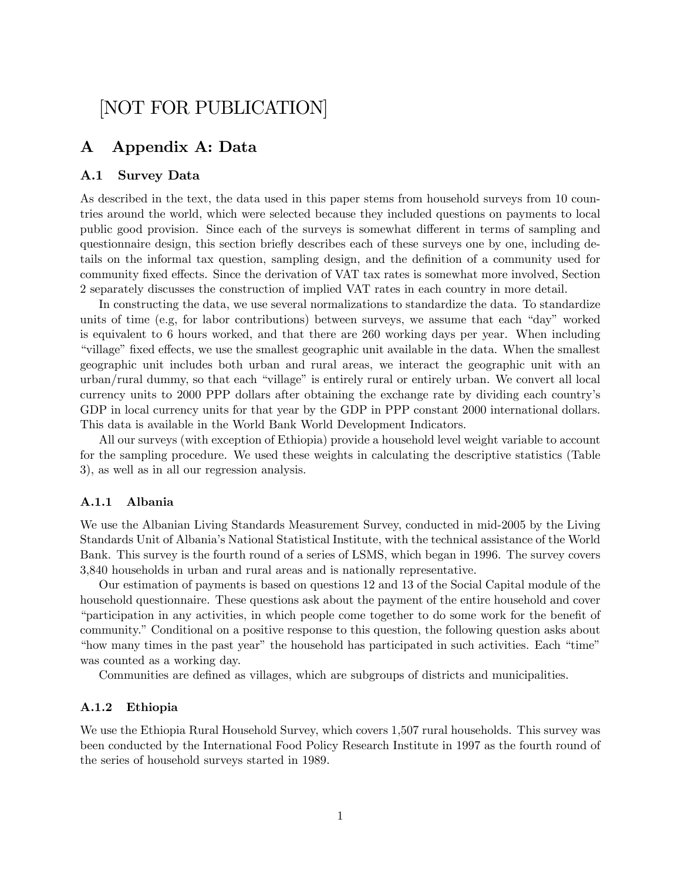# [NOT FOR PUBLICATION]

# A Appendix A: Data

# A.1 Survey Data

As described in the text, the data used in this paper stems from household surveys from 10 countries around the world, which were selected because they included questions on payments to local public good provision. Since each of the surveys is somewhat different in terms of sampling and questionnaire design, this section briefly describes each of these surveys one by one, including details on the informal tax question, sampling design, and the definition of a community used for community fixed effects. Since the derivation of VAT tax rates is somewhat more involved, Section 2 separately discusses the construction of implied VAT rates in each country in more detail.

In constructing the data, we use several normalizations to standardize the data. To standardize units of time (e.g, for labor contributions) between surveys, we assume that each "day" worked is equivalent to 6 hours worked, and that there are 260 working days per year. When including "village" fixed effects, we use the smallest geographic unit available in the data. When the smallest geographic unit includes both urban and rural areas, we interact the geographic unit with an urban/rural dummy, so that each "village" is entirely rural or entirely urban. We convert all local currency units to 2000 PPP dollars after obtaining the exchange rate by dividing each countryís GDP in local currency units for that year by the GDP in PPP constant 2000 international dollars. This data is available in the World Bank World Development Indicators.

All our surveys (with exception of Ethiopia) provide a household level weight variable to account for the sampling procedure. We used these weights in calculating the descriptive statistics (Table 3), as well as in all our regression analysis.

## A.1.1 Albania

We use the Albanian Living Standards Measurement Survey, conducted in mid-2005 by the Living Standards Unit of Albaniaís National Statistical Institute, with the technical assistance of the World Bank. This survey is the fourth round of a series of LSMS, which began in 1996. The survey covers 3,840 households in urban and rural areas and is nationally representative.

Our estimation of payments is based on questions 12 and 13 of the Social Capital module of the household questionnaire. These questions ask about the payment of the entire household and cover  $\alpha$  iparticipation in any activities, in which people come together to do some work for the benefit of community." Conditional on a positive response to this question, the following question asks about "how many times in the past year" the household has participated in such activities. Each "time" was counted as a working day.

Communities are defined as villages, which are subgroups of districts and municipalities.

# A.1.2 Ethiopia

We use the Ethiopia Rural Household Survey, which covers 1,507 rural households. This survey was been conducted by the International Food Policy Research Institute in 1997 as the fourth round of the series of household surveys started in 1989.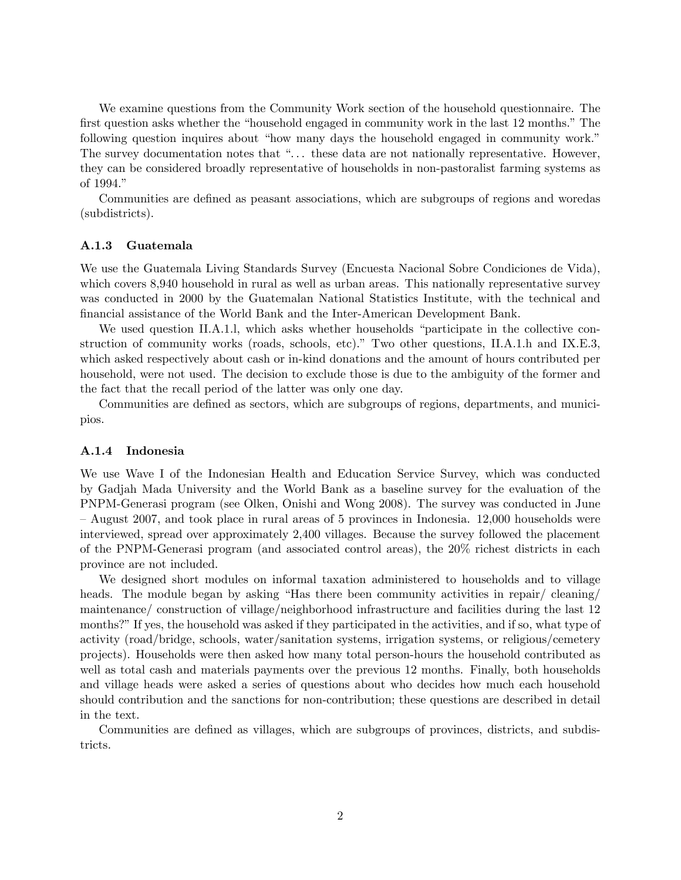We examine questions from the Community Work section of the household questionnaire. The first question asks whether the "household engaged in community work in the last 12 months." The following question inquires about "how many days the household engaged in community work." The survey documentation notes that "... these data are not nationally representative. However, they can be considered broadly representative of households in non-pastoralist farming systems as of 1994."

Communities are defined as peasant associations, which are subgroups of regions and woredas (subdistricts).

## A.1.3 Guatemala

We use the Guatemala Living Standards Survey (Encuesta Nacional Sobre Condiciones de Vida), which covers 8,940 household in rural as well as urban areas. This nationally representative survey was conducted in 2000 by the Guatemalan National Statistics Institute, with the technical and Önancial assistance of the World Bank and the Inter-American Development Bank.

We used question II.A.1.1, which asks whether households "participate in the collective construction of community works (roads, schools, etc)." Two other questions, II.A.1.h and IX.E.3, which asked respectively about cash or in-kind donations and the amount of hours contributed per household, were not used. The decision to exclude those is due to the ambiguity of the former and the fact that the recall period of the latter was only one day.

Communities are defined as sectors, which are subgroups of regions, departments, and municipios.

# A.1.4 Indonesia

We use Wave I of the Indonesian Health and Education Service Survey, which was conducted by Gadjah Mada University and the World Bank as a baseline survey for the evaluation of the PNPM-Generasi program (see Olken, Onishi and Wong 2008). The survey was conducted in June  $-$  August 2007, and took place in rural areas of 5 provinces in Indonesia. 12,000 households were interviewed, spread over approximately 2,400 villages. Because the survey followed the placement of the PNPM-Generasi program (and associated control areas), the 20% richest districts in each province are not included.

We designed short modules on informal taxation administered to households and to village heads. The module began by asking "Has there been community activities in repair/ cleaning/ maintenance/ construction of village/neighborhood infrastructure and facilities during the last 12 months?" If yes, the household was asked if they participated in the activities, and if so, what type of activity (road/bridge, schools, water/sanitation systems, irrigation systems, or religious/cemetery projects). Households were then asked how many total person-hours the household contributed as well as total cash and materials payments over the previous 12 months. Finally, both households and village heads were asked a series of questions about who decides how much each household should contribution and the sanctions for non-contribution; these questions are described in detail in the text.

Communities are defined as villages, which are subgroups of provinces, districts, and subdistricts.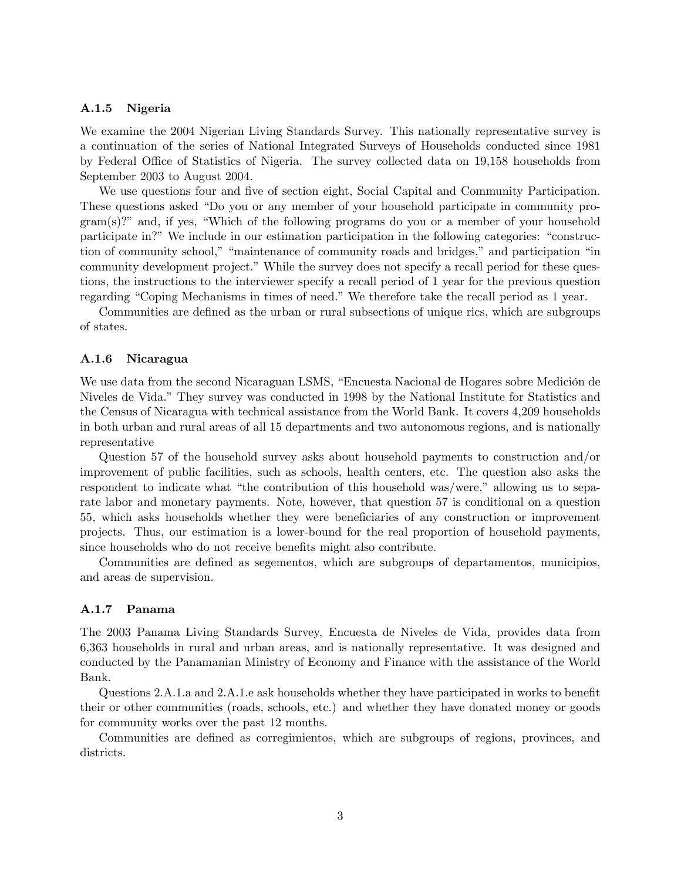#### A.1.5 Nigeria

We examine the 2004 Nigerian Living Standards Survey. This nationally representative survey is a continuation of the series of National Integrated Surveys of Households conducted since 1981 by Federal Office of Statistics of Nigeria. The survey collected data on 19,158 households from September 2003 to August 2004.

We use questions four and five of section eight, Social Capital and Community Participation. These questions asked "Do you or any member of your household participate in community pro $gram(s)$ ?" and, if yes, "Which of the following programs do you or a member of your household participate in?" We include in our estimation participation in the following categories: "construction of community school," "maintenance of community roads and bridges," and participation "in community development project." While the survey does not specify a recall period for these questions, the instructions to the interviewer specify a recall period of 1 year for the previous question regarding "Coping Mechanisms in times of need." We therefore take the recall period as 1 year.

Communities are defined as the urban or rural subsections of unique rics, which are subgroups of states.

# A.1.6 Nicaragua

We use data from the second Nicaraguan LSMS, "Encuesta Nacional de Hogares sobre Medición de Niveles de Vida.î They survey was conducted in 1998 by the National Institute for Statistics and the Census of Nicaragua with technical assistance from the World Bank. It covers 4,209 households in both urban and rural areas of all 15 departments and two autonomous regions, and is nationally representative

Question 57 of the household survey asks about household payments to construction and/or improvement of public facilities, such as schools, health centers, etc. The question also asks the respondent to indicate what "the contribution of this household was/were," allowing us to separate labor and monetary payments. Note, however, that question 57 is conditional on a question 55, which asks households whether they were beneficiaries of any construction or improvement projects. Thus, our estimation is a lower-bound for the real proportion of household payments, since households who do not receive benefits might also contribute.

Communities are defined as segementos, which are subgroups of departamentos, municipios, and areas de supervision.

#### A.1.7 Panama

The 2003 Panama Living Standards Survey, Encuesta de Niveles de Vida, provides data from 6,363 households in rural and urban areas, and is nationally representative. It was designed and conducted by the Panamanian Ministry of Economy and Finance with the assistance of the World Bank.

Questions 2.A.1.a and 2.A.1.e ask households whether they have participated in works to benefit their or other communities (roads, schools, etc.) and whether they have donated money or goods for community works over the past 12 months.

Communities are defined as corregimientos, which are subgroups of regions, provinces, and districts.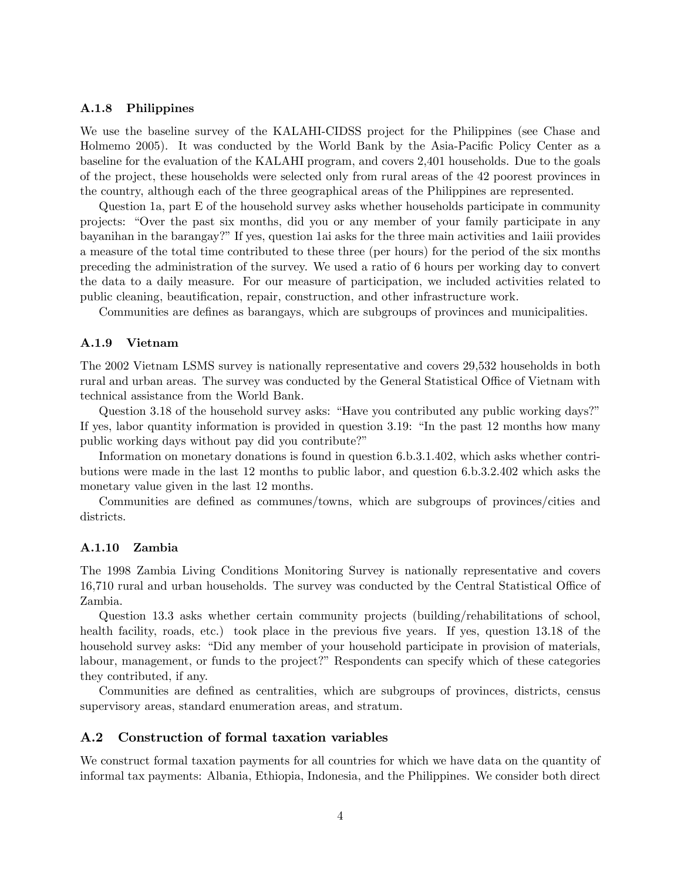# A.1.8 Philippines

We use the baseline survey of the KALAHI-CIDSS project for the Philippines (see Chase and Holmemo 2005). It was conducted by the World Bank by the Asia-Pacific Policy Center as a baseline for the evaluation of the KALAHI program, and covers 2,401 households. Due to the goals of the project, these households were selected only from rural areas of the 42 poorest provinces in the country, although each of the three geographical areas of the Philippines are represented.

Question 1a, part E of the household survey asks whether households participate in community projects: "Over the past six months, did you or any member of your family participate in any bayanihan in the barangay?îIf yes, question 1ai asks for the three main activities and 1aiii provides a measure of the total time contributed to these three (per hours) for the period of the six months preceding the administration of the survey. We used a ratio of 6 hours per working day to convert the data to a daily measure. For our measure of participation, we included activities related to public cleaning, beautification, repair, construction, and other infrastructure work.

Communities are defines as barangays, which are subgroups of provinces and municipalities.

#### A.1.9 Vietnam

The 2002 Vietnam LSMS survey is nationally representative and covers 29,532 households in both rural and urban areas. The survey was conducted by the General Statistical Office of Vietnam with technical assistance from the World Bank.

Question 3.18 of the household survey asks: "Have you contributed any public working days?" If yes, labor quantity information is provided in question  $3.19:$  "In the past 12 months how many public working days without pay did you contribute?"

Information on monetary donations is found in question 6.b.3.1.402, which asks whether contributions were made in the last 12 months to public labor, and question 6.b.3.2.402 which asks the monetary value given in the last 12 months.

Communities are defined as communes/towns, which are subgroups of provinces/cities and districts.

#### A.1.10 Zambia

The 1998 Zambia Living Conditions Monitoring Survey is nationally representative and covers 16,710 rural and urban households. The survey was conducted by the Central Statistical Office of Zambia.

Question 13.3 asks whether certain community projects (building/rehabilitations of school, health facility, roads, etc.) took place in the previous five years. If yes, question 13.18 of the household survey asks: "Did any member of your household participate in provision of materials, labour, management, or funds to the project?" Respondents can specify which of these categories they contributed, if any.

Communities are defined as centralities, which are subgroups of provinces, districts, census supervisory areas, standard enumeration areas, and stratum.

# A.2 Construction of formal taxation variables

We construct formal taxation payments for all countries for which we have data on the quantity of informal tax payments: Albania, Ethiopia, Indonesia, and the Philippines. We consider both direct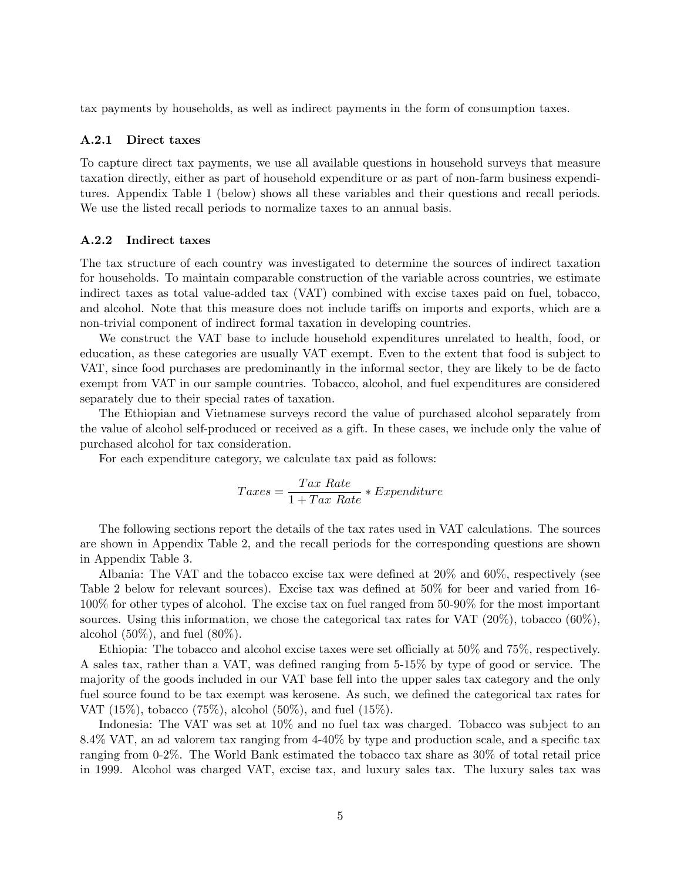tax payments by households, as well as indirect payments in the form of consumption taxes.

#### A.2.1 Direct taxes

To capture direct tax payments, we use all available questions in household surveys that measure taxation directly, either as part of household expenditure or as part of non-farm business expenditures. Appendix Table 1 (below) shows all these variables and their questions and recall periods. We use the listed recall periods to normalize taxes to an annual basis.

#### A.2.2 Indirect taxes

The tax structure of each country was investigated to determine the sources of indirect taxation for households. To maintain comparable construction of the variable across countries, we estimate indirect taxes as total value-added tax (VAT) combined with excise taxes paid on fuel, tobacco, and alcohol. Note that this measure does not include tariffs on imports and exports, which are a non-trivial component of indirect formal taxation in developing countries.

We construct the VAT base to include household expenditures unrelated to health, food, or education, as these categories are usually VAT exempt. Even to the extent that food is subject to VAT, since food purchases are predominantly in the informal sector, they are likely to be de facto exempt from VAT in our sample countries. Tobacco, alcohol, and fuel expenditures are considered separately due to their special rates of taxation.

The Ethiopian and Vietnamese surveys record the value of purchased alcohol separately from the value of alcohol self-produced or received as a gift. In these cases, we include only the value of purchased alcohol for tax consideration.

For each expenditure category, we calculate tax paid as follows:

$$
Taxes = \frac{Tax Rate}{1 + Tax Rate} * Expenditure
$$

The following sections report the details of the tax rates used in VAT calculations. The sources are shown in Appendix Table 2, and the recall periods for the corresponding questions are shown in Appendix Table 3.

Albania: The VAT and the tobacco excise tax were defined at  $20\%$  and  $60\%$ , respectively (see Table 2 below for relevant sources). Excise tax was defined at  $50\%$  for beer and varied from 16-100% for other types of alcohol. The excise tax on fuel ranged from 50-90% for the most important sources. Using this information, we chose the categorical tax rates for VAT (20%), tobacco (60%), alcohol  $(50\%)$ , and fuel  $(80\%).$ 

Ethiopia: The tobacco and alcohol excise taxes were set officially at  $50\%$  and  $75\%$ , respectively. A sales tax, rather than a VAT, was defined ranging from 5-15% by type of good or service. The majority of the goods included in our VAT base fell into the upper sales tax category and the only fuel source found to be tax exempt was kerosene. As such, we defined the categorical tax rates for VAT (15%), tobacco (75%), alcohol (50%), and fuel (15%).

Indonesia: The VAT was set at 10% and no fuel tax was charged. Tobacco was subject to an 8.4% VAT, an ad valorem tax ranging from  $4-40\%$  by type and production scale, and a specific tax ranging from 0-2%. The World Bank estimated the tobacco tax share as 30% of total retail price in 1999. Alcohol was charged VAT, excise tax, and luxury sales tax. The luxury sales tax was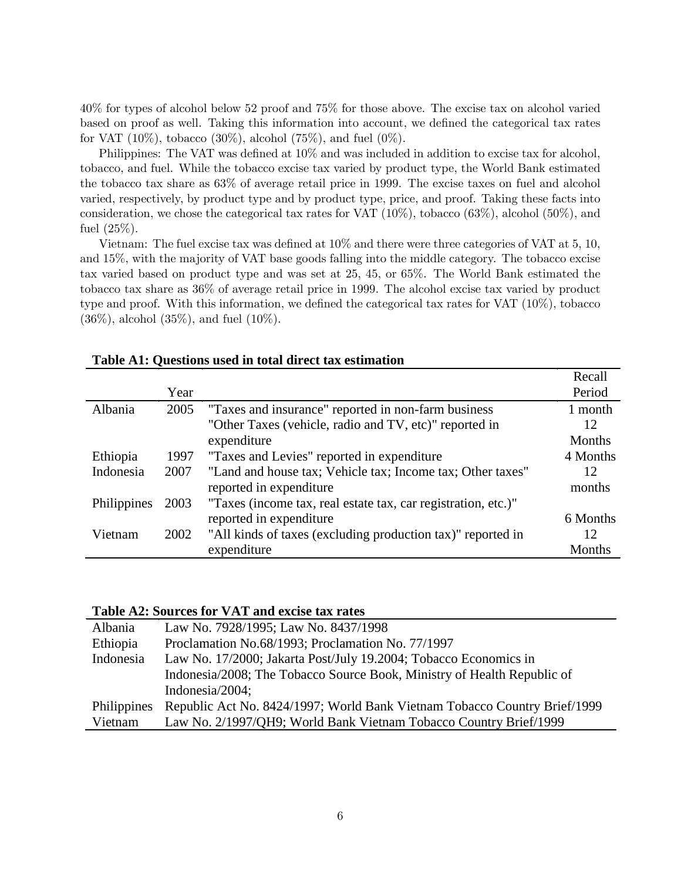40% for types of alcohol below 52 proof and 75% for those above. The excise tax on alcohol varied based on proof as well. Taking this information into account, we defined the categorical tax rates for VAT  $(10\%)$ , tobacco  $(30\%)$ , alcohol  $(75\%)$ , and fuel  $(0\%)$ .

Philippines: The VAT was defined at  $10\%$  and was included in addition to excise tax for alcohol, tobacco, and fuel. While the tobacco excise tax varied by product type, the World Bank estimated the tobacco tax share as 63% of average retail price in 1999. The excise taxes on fuel and alcohol varied, respectively, by product type and by product type, price, and proof. Taking these facts into consideration, we chose the categorical tax rates for VAT  $(10\%)$ , tobacco  $(63\%)$ , alcohol  $(50\%)$ , and fuel (25%).

Vietnam: The fuel excise tax was defined at  $10\%$  and there were three categories of VAT at 5, 10, and 15%, with the majority of VAT base goods falling into the middle category. The tobacco excise tax varied based on product type and was set at 25, 45, or 65%. The World Bank estimated the tobacco tax share as 36% of average retail price in 1999. The alcohol excise tax varied by product type and proof. With this information, we defined the categorical tax rates for VAT  $(10\%)$ , tobacco  $(36\%)$ , alcohol  $(35\%)$ , and fuel  $(10\%)$ .

|             |      |                                                               | Recall   |
|-------------|------|---------------------------------------------------------------|----------|
|             | Year |                                                               | Period   |
| Albania     | 2005 | "Taxes and insurance" reported in non-farm business           | 1 month  |
|             |      | "Other Taxes (vehicle, radio and TV, etc)" reported in        | 12       |
|             |      | expenditure                                                   | Months   |
| Ethiopia    | 1997 | "Taxes and Levies" reported in expenditure                    | 4 Months |
| Indonesia   | 2007 | "Land and house tax; Vehicle tax; Income tax; Other taxes"    | 12       |
|             |      | reported in expenditure                                       | months   |
| Philippines | 2003 | "Taxes (income tax, real estate tax, car registration, etc.)" |          |
|             |      | reported in expenditure                                       | 6 Months |
| Vietnam     | 2002 | "All kinds of taxes (excluding production tax)" reported in   | 12       |
|             |      | expenditure                                                   | Months   |

# **Table A1: Questions used in total direct tax estimation**

# **Table A2: Sources for VAT and excise tax rates**

| Albania            | Law No. 7928/1995; Law No. 8437/1998                                      |  |  |  |  |
|--------------------|---------------------------------------------------------------------------|--|--|--|--|
| Ethiopia           | Proclamation No.68/1993; Proclamation No. 77/1997                         |  |  |  |  |
| Indonesia          | Law No. 17/2000; Jakarta Post/July 19.2004; Tobacco Economics in          |  |  |  |  |
|                    | Indonesia/2008; The Tobacco Source Book, Ministry of Health Republic of   |  |  |  |  |
|                    | Indonesia/2004;                                                           |  |  |  |  |
| <b>Philippines</b> | Republic Act No. 8424/1997; World Bank Vietnam Tobacco Country Brief/1999 |  |  |  |  |
| Vietnam            | Law No. 2/1997/QH9; World Bank Vietnam Tobacco Country Brief/1999         |  |  |  |  |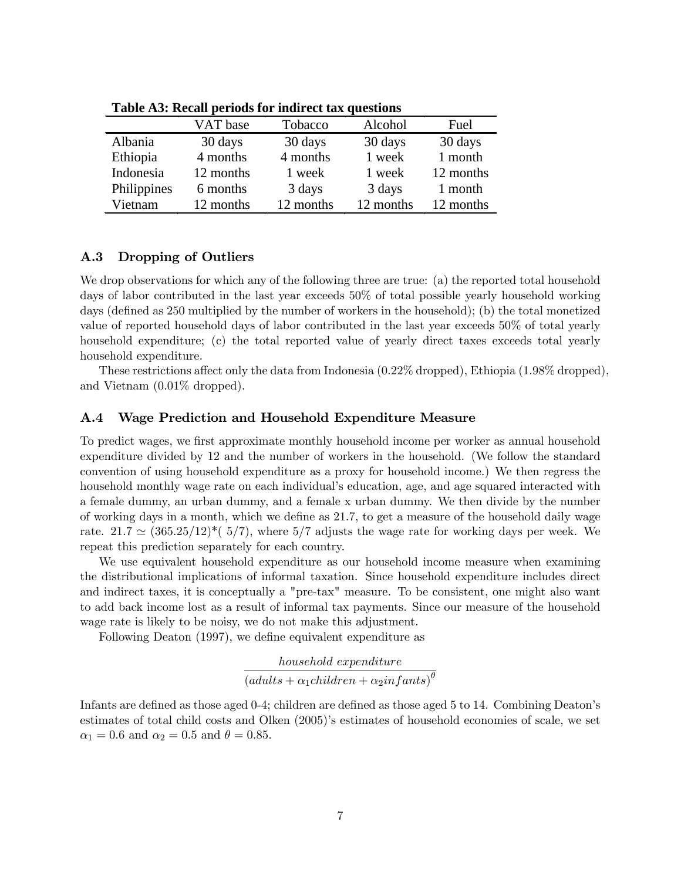|             | VAT base  | Tobacco   | Alcohol   | Fuel      |
|-------------|-----------|-----------|-----------|-----------|
| Albania     | 30 days   | 30 days   | 30 days   | 30 days   |
| Ethiopia    | 4 months  | 4 months  | 1 week    | 1 month   |
| Indonesia   | 12 months | 1 week    | 1 week    | 12 months |
| Philippines | 6 months  | 3 days    | 3 days    | 1 month   |
| Vietnam     | 12 months | 12 months | 12 months | 12 months |

**Table A3: Recall periods for indirect tax questions**

# A.3 Dropping of Outliers

We drop observations for which any of the following three are true: (a) the reported total household days of labor contributed in the last year exceeds 50% of total possible yearly household working days (defined as 250 multiplied by the number of workers in the household); (b) the total monetized value of reported household days of labor contributed in the last year exceeds 50% of total yearly household expenditure; (c) the total reported value of yearly direct taxes exceeds total yearly household expenditure.

These restrictions affect only the data from Indonesia  $(0.22\%$  dropped), Ethiopia  $(1.98\%$  dropped), and Vietnam (0.01% dropped).

# A.4 Wage Prediction and Household Expenditure Measure

To predict wages, we first approximate monthly household income per worker as annual household expenditure divided by 12 and the number of workers in the household. (We follow the standard convention of using household expenditure as a proxy for household income.) We then regress the household monthly wage rate on each individual's education, age, and age squared interacted with a female dummy, an urban dummy, and a female x urban dummy. We then divide by the number of working days in a month, which we define as 21.7, to get a measure of the household daily wage rate.  $21.7 \simeq (365.25/12)^*$  (5/7), where 5/7 adjusts the wage rate for working days per week. We repeat this prediction separately for each country.

We use equivalent household expenditure as our household income measure when examining the distributional implications of informal taxation. Since household expenditure includes direct and indirect taxes, it is conceptually a "pre-tax" measure. To be consistent, one might also want to add back income lost as a result of informal tax payments. Since our measure of the household wage rate is likely to be noisy, we do not make this adjustment.

Following Deaton (1997), we define equivalent expenditure as

household expenditure  $\left( adults + \alpha_1 children + \alpha_2infants\right)^{\theta}$ 

Infants are defined as those aged 0-4; children are defined as those aged 5 to 14. Combining Deaton's estimates of total child costs and Olken (2005)'s estimates of household economies of scale, we set  $\alpha_1 = 0.6$  and  $\alpha_2 = 0.5$  and  $\theta = 0.85$ .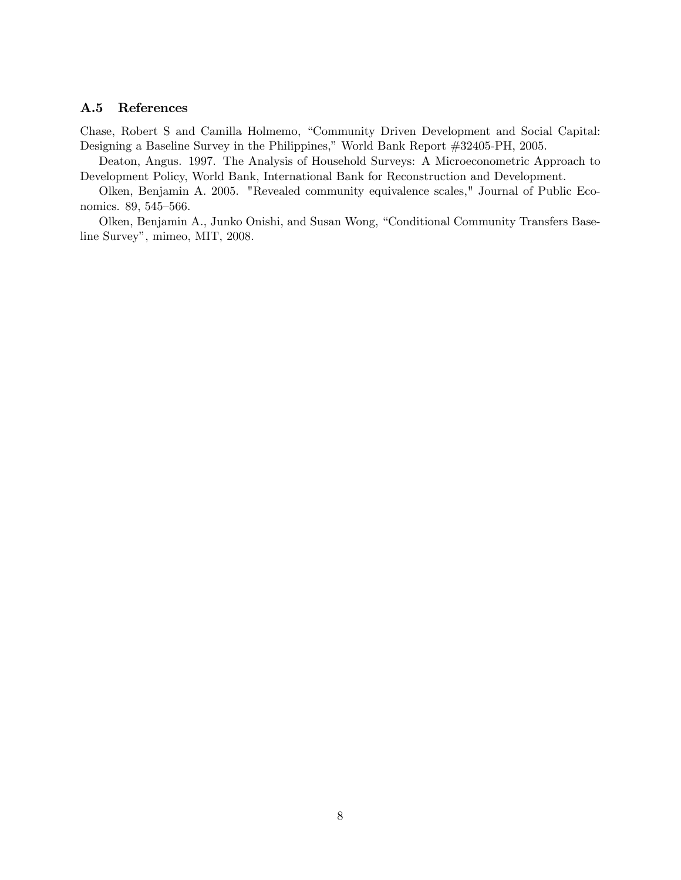# A.5 References

Chase, Robert S and Camilla Holmemo, "Community Driven Development and Social Capital: Designing a Baseline Survey in the Philippines," World Bank Report #32405-PH, 2005.

Deaton, Angus. 1997. The Analysis of Household Surveys: A Microeconometric Approach to Development Policy, World Bank, International Bank for Reconstruction and Development.

Olken, Benjamin A. 2005. "Revealed community equivalence scales," Journal of Public Economics. 89, 545–566.

Olken, Benjamin A., Junko Onishi, and Susan Wong, "Conditional Community Transfers Baseline Survey", mimeo, MIT, 2008.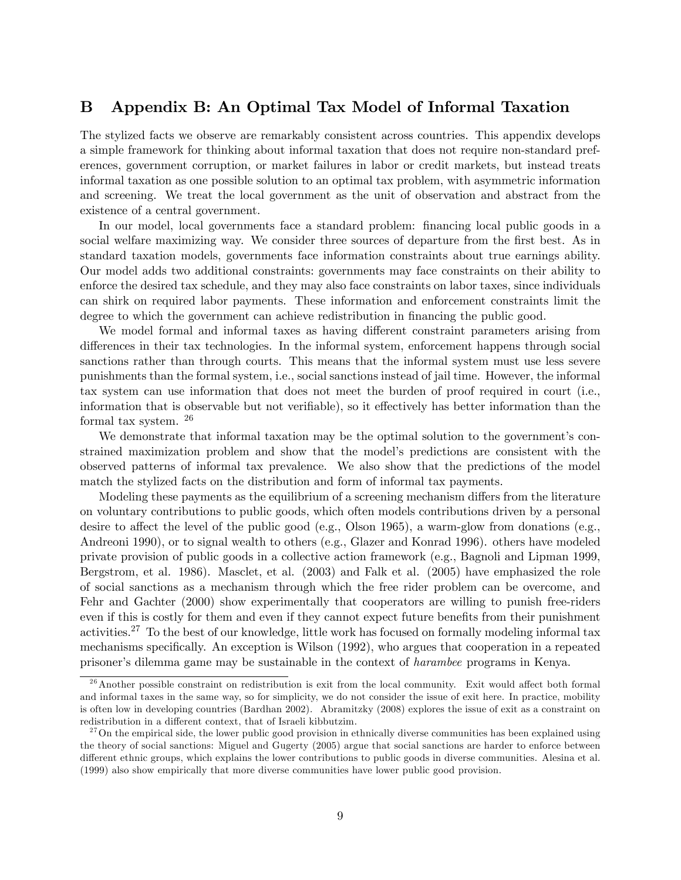# B Appendix B: An Optimal Tax Model of Informal Taxation

The stylized facts we observe are remarkably consistent across countries. This appendix develops a simple framework for thinking about informal taxation that does not require non-standard preferences, government corruption, or market failures in labor or credit markets, but instead treats informal taxation as one possible solution to an optimal tax problem, with asymmetric information and screening. We treat the local government as the unit of observation and abstract from the existence of a central government.

In our model, local governments face a standard problem: financing local public goods in a social welfare maximizing way. We consider three sources of departure from the first best. As in standard taxation models, governments face information constraints about true earnings ability. Our model adds two additional constraints: governments may face constraints on their ability to enforce the desired tax schedule, and they may also face constraints on labor taxes, since individuals can shirk on required labor payments. These information and enforcement constraints limit the degree to which the government can achieve redistribution in financing the public good.

We model formal and informal taxes as having different constraint parameters arising from differences in their tax technologies. In the informal system, enforcement happens through social sanctions rather than through courts. This means that the informal system must use less severe punishments than the formal system, i.e., social sanctions instead of jail time. However, the informal tax system can use information that does not meet the burden of proof required in court (i.e., information that is observable but not verifiable), so it effectively has better information than the formal tax system. <sup>26</sup>

We demonstrate that informal taxation may be the optimal solution to the government's constrained maximization problem and show that the modelís predictions are consistent with the observed patterns of informal tax prevalence. We also show that the predictions of the model match the stylized facts on the distribution and form of informal tax payments.

Modeling these payments as the equilibrium of a screening mechanism differs from the literature on voluntary contributions to public goods, which often models contributions driven by a personal desire to affect the level of the public good (e.g., Olson 1965), a warm-glow from donations (e.g., Andreoni 1990), or to signal wealth to others (e.g., Glazer and Konrad 1996). others have modeled private provision of public goods in a collective action framework (e.g., Bagnoli and Lipman 1999, Bergstrom, et al. 1986). Masclet, et al. (2003) and Falk et al. (2005) have emphasized the role of social sanctions as a mechanism through which the free rider problem can be overcome, and Fehr and Gachter (2000) show experimentally that cooperators are willing to punish free-riders even if this is costly for them and even if they cannot expect future benefits from their punishment activities.<sup>27</sup> To the best of our knowledge, little work has focused on formally modeling informal tax mechanisms specifically. An exception is Wilson (1992), who argues that cooperation in a repeated prisoner's dilemma game may be sustainable in the context of *harambee* programs in Kenya.

 $^{26}$ Another possible constraint on redistribution is exit from the local community. Exit would affect both formal and informal taxes in the same way, so for simplicity, we do not consider the issue of exit here. In practice, mobility is often low in developing countries (Bardhan 2002). Abramitzky (2008) explores the issue of exit as a constraint on redistribution in a different context, that of Israeli kibbutzim.

 $27$ On the empirical side, the lower public good provision in ethnically diverse communities has been explained using the theory of social sanctions: Miguel and Gugerty (2005) argue that social sanctions are harder to enforce between different ethnic groups, which explains the lower contributions to public goods in diverse communities. Alesina et al. (1999) also show empirically that more diverse communities have lower public good provision.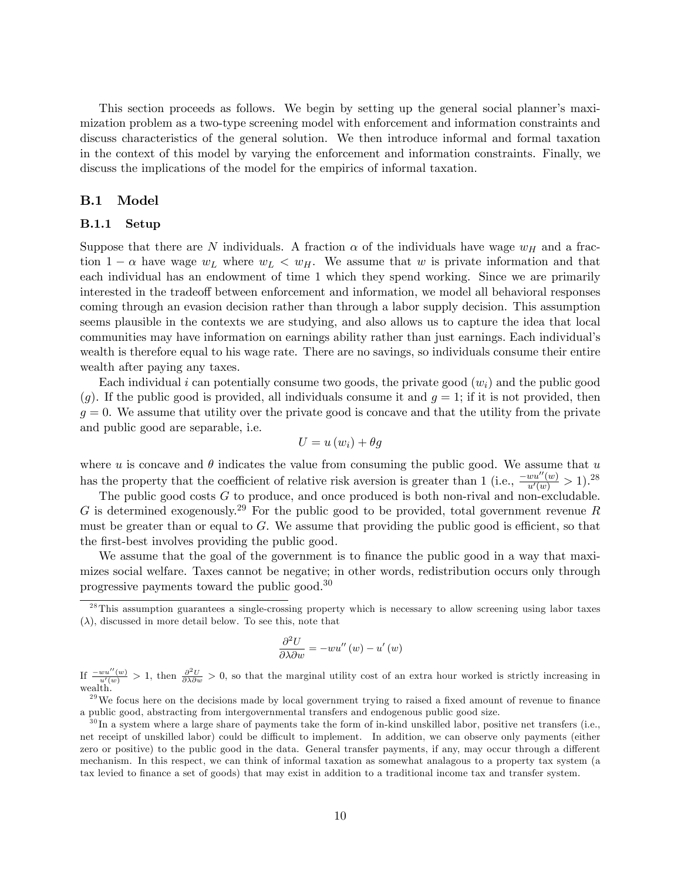This section proceeds as follows. We begin by setting up the general social planner's maximization problem as a two-type screening model with enforcement and information constraints and discuss characteristics of the general solution. We then introduce informal and formal taxation in the context of this model by varying the enforcement and information constraints. Finally, we discuss the implications of the model for the empirics of informal taxation.

# B.1 Model

### B.1.1 Setup

Suppose that there are N individuals. A fraction  $\alpha$  of the individuals have wage  $w_H$  and a fraction  $1 - \alpha$  have wage  $w_L$  where  $w_L < w_H$ . We assume that w is private information and that each individual has an endowment of time 1 which they spend working. Since we are primarily interested in the tradeoff between enforcement and information, we model all behavioral responses coming through an evasion decision rather than through a labor supply decision. This assumption seems plausible in the contexts we are studying, and also allows us to capture the idea that local communities may have information on earnings ability rather than just earnings. Each individual's wealth is therefore equal to his wage rate. There are no savings, so individuals consume their entire wealth after paying any taxes.

Each individual i can potentially consume two goods, the private good  $(w_i)$  and the public good  $(g)$ . If the public good is provided, all individuals consume it and  $g = 1$ ; if it is not provided, then  $g = 0$ . We assume that utility over the private good is concave and that the utility from the private and public good are separable, i.e.

$$
U = u\left(w_i\right) + \theta g
$$

where u is concave and  $\theta$  indicates the value from consuming the public good. We assume that u has the property that the coefficient of relative risk aversion is greater than 1 (i.e.,  $\frac{-wu''(w)}{u'(w)} > 1$ ).<sup>28</sup>

The public good costs G to produce, and once produced is both non-rival and non-excludable. G is determined exogenously.<sup>29</sup> For the public good to be provided, total government revenue R must be greater than or equal to  $G$ . We assume that providing the public good is efficient, so that the first-best involves providing the public good.

We assume that the goal of the government is to finance the public good in a way that maximizes social welfare. Taxes cannot be negative; in other words, redistribution occurs only through progressive payments toward the public good.<sup>30</sup>

$$
\frac{\partial^2 U}{\partial \lambda \partial w} = -w u''(w) - u'(w)
$$

If  $\frac{-wu''(w)}{u'(w)} > 1$ , then  $\frac{\partial^2 U}{\partial \lambda \partial w} > 0$ , so that the marginal utility cost of an extra hour worked is strictly increasing in wealth.

 $29$ We focus here on the decisions made by local government trying to raised a fixed amount of revenue to finance a public good, abstracting from intergovernmental transfers and endogenous public good size.

<sup>&</sup>lt;sup>28</sup>This assumption guarantees a single-crossing property which is necessary to allow screening using labor taxes  $(\lambda)$ , discussed in more detail below. To see this, note that

 $30$ In a system where a large share of payments take the form of in-kind unskilled labor, positive net transfers (i.e., net receipt of unskilled labor) could be difficult to implement. In addition, we can observe only payments (either zero or positive) to the public good in the data. General transfer payments, if any, may occur through a different mechanism. In this respect, we can think of informal taxation as somewhat analagous to a property tax system (a tax levied to finance a set of goods) that may exist in addition to a traditional income tax and transfer system.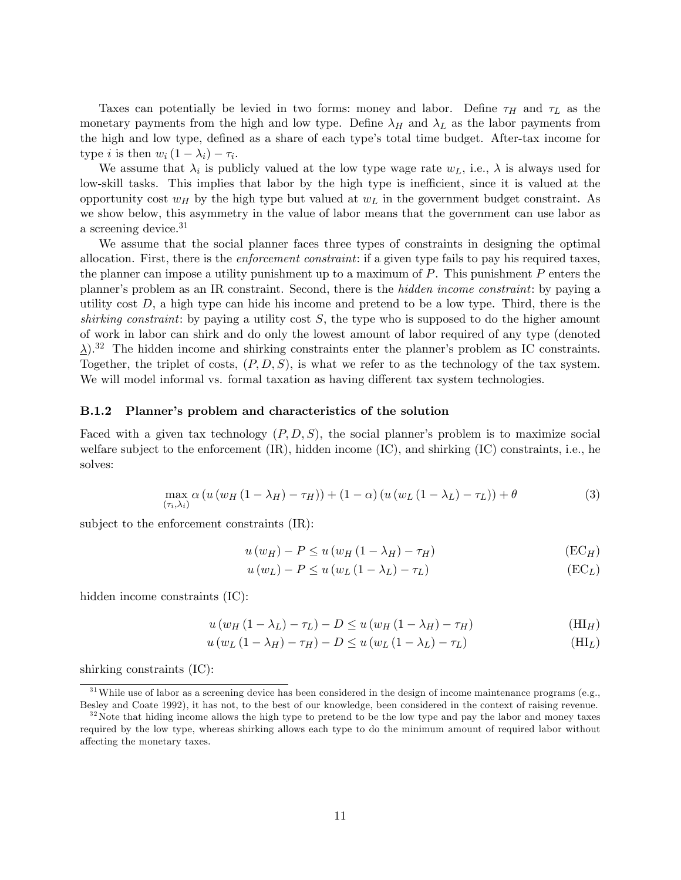Taxes can potentially be levied in two forms: money and labor. Define  $\tau_H$  and  $\tau_L$  as the monetary payments from the high and low type. Define  $\lambda_H$  and  $\lambda_L$  as the labor payments from the high and low type, defined as a share of each type's total time budget. After-tax income for type *i* is then  $w_i(1 - \lambda_i) - \tau_i$ .

We assume that  $\lambda_i$  is publicly valued at the low type wage rate  $w_L$ , i.e.,  $\lambda$  is always used for low-skill tasks. This implies that labor by the high type is inefficient, since it is valued at the opportunity cost  $w_H$  by the high type but valued at  $w_L$  in the government budget constraint. As we show below, this asymmetry in the value of labor means that the government can use labor as a screening device.<sup>31</sup>

We assume that the social planner faces three types of constraints in designing the optimal allocation. First, there is the enforcement constraint: if a given type fails to pay his required taxes, the planner can impose a utility punishment up to a maximum of  $P$ . This punishment  $P$  enters the planner's problem as an IR constraint. Second, there is the *hidden income constraint*: by paying a utility cost  $D$ , a high type can hide his income and pretend to be a low type. Third, there is the shirking constraint: by paying a utility cost  $S$ , the type who is supposed to do the higher amount of work in labor can shirk and do only the lowest amount of labor required of any type (denoted  $\Delta$ ).<sup>32</sup> The hidden income and shirking constraints enter the planner's problem as IC constraints. Together, the triplet of costs,  $(P, D, S)$ , is what we refer to as the technology of the tax system. We will model informal vs. formal taxation as having different tax system technologies.

#### B.1.2 Planner's problem and characteristics of the solution

Faced with a given tax technology  $(P, D, S)$ , the social planner's problem is to maximize social welfare subject to the enforcement (IR), hidden income (IC), and shirking (IC) constraints, i.e., he solves:

$$
\max_{(\tau_i,\lambda_i)} \alpha \left( u \left( w_H \left( 1 - \lambda_H \right) - \tau_H \right) \right) + (1 - \alpha) \left( u \left( w_L \left( 1 - \lambda_L \right) - \tau_L \right) \right) + \theta \tag{3}
$$

subject to the enforcement constraints (IR):

$$
u(w_H) - P \le u(w_H (1 - \lambda_H) - \tau_H)
$$
\n(EC<sub>H</sub>)

$$
u(w_L) - P \le u(w_L (1 - \lambda_L) - \tau_L)
$$
\n(EC<sub>L</sub>)

hidden income constraints (IC):

$$
u(w_H(1 - \lambda_L) - \tau_L) - D \le u(w_H(1 - \lambda_H) - \tau_H)
$$
\n(HI<sub>H</sub>)

$$
u(w_L(1 - \lambda_H) - \tau_H) - D \le u(w_L(1 - \lambda_L) - \tau_L)
$$
\n(HI<sub>L</sub>)

shirking constraints (IC):

 $31$ While use of labor as a screening device has been considered in the design of income maintenance programs (e.g., Besley and Coate 1992), it has not, to the best of our knowledge, been considered in the context of raising revenue.

 $32\%$ Note that hiding income allows the high type to pretend to be the low type and pay the labor and money taxes required by the low type, whereas shirking allows each type to do the minimum amount of required labor without affecting the monetary taxes.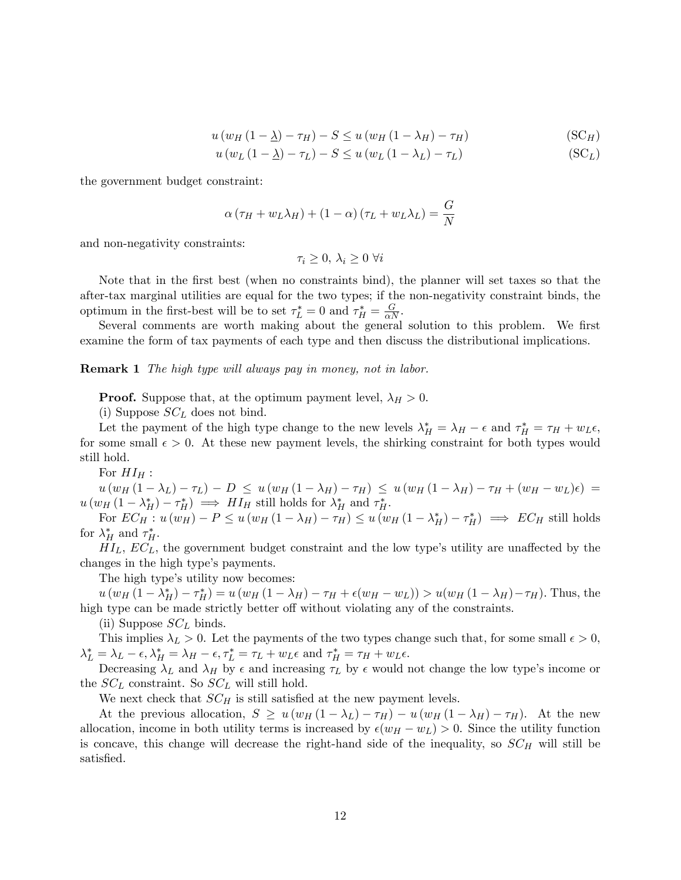$$
u(w_H(1 - \underline{\lambda}) - \tau_H) - S \le u(w_H(1 - \lambda_H) - \tau_H)
$$
\n(SC<sub>H</sub>)

$$
u(w_L(1 - \underline{\lambda}) - \tau_L) - S \le u(w_L(1 - \lambda_L) - \tau_L)
$$
\n(SC<sub>L</sub>)

the government budget constraint:

$$
\alpha (\tau_H + w_L \lambda_H) + (1 - \alpha) (\tau_L + w_L \lambda_L) = \frac{G}{N}
$$

and non-negativity constraints:

$$
\tau_i \geq 0, \, \lambda_i \geq 0 \,\,\forall i
$$

Note that in the first best (when no constraints bind), the planner will set taxes so that the after-tax marginal utilities are equal for the two types; if the non-negativity constraint binds, the optimum in the first-best will be to set  $\tau_L^* = 0$  and  $\tau_H^* = \frac{G}{\alpha N}$ .

Several comments are worth making about the general solution to this problem. We first examine the form of tax payments of each type and then discuss the distributional implications.

**Remark 1** The high type will always pay in money, not in labor.

**Proof.** Suppose that, at the optimum payment level,  $\lambda_H > 0$ .

(i) Suppose  $SC<sub>L</sub>$  does not bind.

Let the payment of the high type change to the new levels  $\lambda_H^* = \lambda_H - \epsilon$  and  $\tau_H^* = \tau_H + w_L \epsilon$ , for some small  $\epsilon > 0$ . At these new payment levels, the shirking constraint for both types would still hold.

For  $HI_H$ :

 $u(w_H (1 - \lambda_L) - \tau_L) - D \leq u(w_H (1 - \lambda_H) - \tau_H) \leq u(w_H (1 - \lambda_H) - \tau_H + (w_H - w_L)\epsilon) =$  $u(w_H (1 - \lambda_H^*) - \tau_H^*) \implies H I_H$  still holds for  $\lambda_H^*$  and  $\tau_H^*$ .

For  $EC_H: u(w_H) - P \le u(w_H (1 - \lambda_H) - \tau_H) \le u(w_H (1 - \lambda_H^*) - \tau_H^*) \implies EC_H$  still holds for  $\lambda_H^*$  and  $\tau_H^*$ .

 $HI<sub>L</sub>$ ,  $EC<sub>L</sub>$ , the government budget constraint and the low type's utility are unaffected by the changes in the high type's payments.

The high type's utility now becomes:

 $u(w_H (1 - \lambda_H^*) - \tau_H^*) = u(w_H (1 - \lambda_H) - \tau_H + \epsilon(w_H - w_L)) > u(w_H (1 - \lambda_H) - \tau_H).$  Thus, the high type can be made strictly better off without violating any of the constraints.

(ii) Suppose  $SC<sub>L</sub>$  binds.

This implies  $\lambda_L > 0$ . Let the payments of the two types change such that, for some small  $\epsilon > 0$ ,  $\lambda_L^* = \lambda_L - \epsilon, \lambda_H^* = \lambda_H - \epsilon, \tau_L^* = \tau_L + w_L \epsilon \text{ and } \tau_H^* = \tau_H + w_L \epsilon.$ 

Decreasing  $\lambda_L$  and  $\lambda_H$  by  $\epsilon$  and increasing  $\tau_L$  by  $\epsilon$  would not change the low type's income or the  $SC_L$  constraint. So  $SC_L$  will still hold.

We next check that  $SC_H$  is still satisfied at the new payment levels.

At the previous allocation,  $S \geq u (w_H (1 - \lambda_L) - \tau_H) - u (w_H (1 - \lambda_H) - \tau_H)$ . At the new allocation, income in both utility terms is increased by  $\epsilon(w_H - w_L) > 0$ . Since the utility function is concave, this change will decrease the right-hand side of the inequality, so  $SC_H$  will still be satisfied.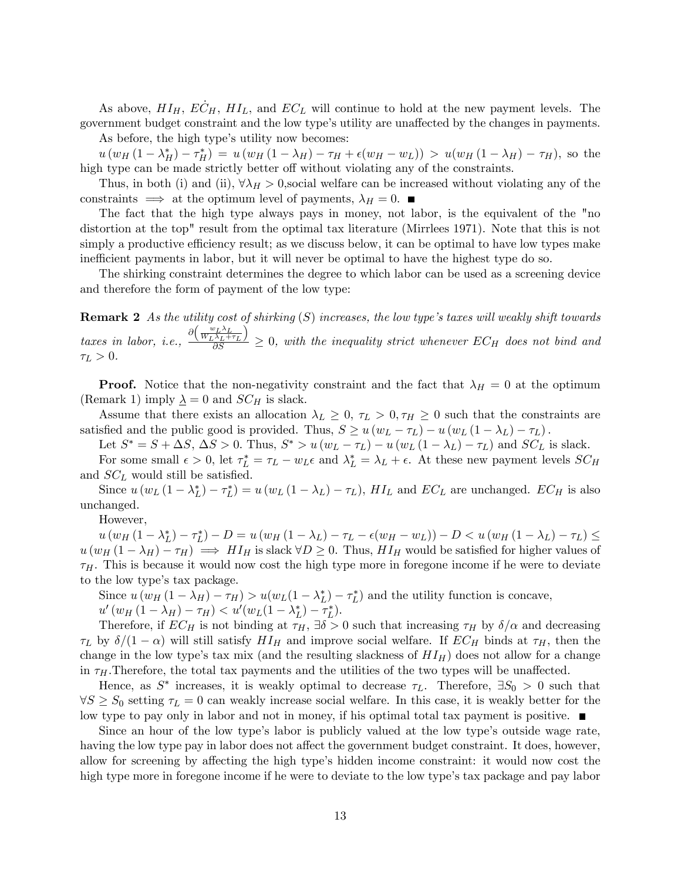As above,  $HI_H$ ,  $EC_H$ ,  $HI_L$ , and  $EC_L$  will continue to hold at the new payment levels. The government budget constraint and the low type's utility are unaffected by the changes in payments.

As before, the high type's utility now becomes:

 $u(w_H(1-\lambda_H^*)-\tau_H^*) = u(w_H(1-\lambda_H)-\tau_H+\epsilon(w_H-w_L)) > u(w_H(1-\lambda_H)-\tau_H)$ , so the high type can be made strictly better off without violating any of the constraints.

Thus, in both (i) and (ii),  $\forall \lambda_H > 0$ , social welfare can be increased without violating any of the constraints  $\implies$  at the optimum level of payments,  $\lambda_H = 0$ .

The fact that the high type always pays in money, not labor, is the equivalent of the "no distortion at the top" result from the optimal tax literature (Mirrlees 1971). Note that this is not simply a productive efficiency result; as we discuss below, it can be optimal to have low types make inefficient payments in labor, but it will never be optimal to have the highest type do so.

The shirking constraint determines the degree to which labor can be used as a screening device and therefore the form of payment of the low type:

**Remark 2** As the utility cost of shirking  $(S)$  increases, the low type's taxes will weakly shift towards taxes in labor, i.e.,  $\frac{\partial \left(\frac{w_L \lambda_L}{W_L \lambda_L + \tau_L}\right)}{\partial S}$  $\overline{ }$  $\frac{\Delta_L + \tau_L I}{\partial S} \geq 0$ , with the inequality strict whenever  $EC_H$  does not bind and  $\tau_L > 0$ .

**Proof.** Notice that the non-negativity constraint and the fact that  $\lambda_H = 0$  at the optimum (Remark 1) imply  $\underline{\lambda} = 0$  and  $SC_H$  is slack.

Assume that there exists an allocation  $\lambda_L \geq 0$ ,  $\tau_L > 0$ ,  $\tau_H \geq 0$  such that the constraints are satisfied and the public good is provided. Thus,  $S \ge u (w_L - \tau_L) - u (w_L (1 - \lambda_L) - \tau_L)$ .

Let  $S^* = S + \Delta S$ ,  $\Delta S > 0$ . Thus,  $S^* > u (w_L - \tau_L) - u (w_L (1 - \lambda_L) - \tau_L)$  and  $SC_L$  is slack.

For some small  $\epsilon > 0$ , let  $\tau_L^* = \tau_L - w_L \epsilon$  and  $\lambda_L^* = \lambda_L + \epsilon$ . At these new payment levels  $SC_H$ and  $SC<sub>L</sub>$  would still be satisfied.

Since  $u(w_L(1 - \lambda_L^*) - \tau_L^*) = u(w_L(1 - \lambda_L) - \tau_L)$ ,  $HI_L$  and  $EC_L$  are unchanged.  $EC_H$  is also unchanged.

However,

 $u(w_H(1 - \lambda_L^*) - \tau_L^*) - D = u(w_H(1 - \lambda_L) - \tau_L - \epsilon(w_H - w_L)) - D < u(w_H(1 - \lambda_L) - \tau_L) \le$  $u(w_H (1 - \lambda_H) - \tau_H) \implies H I_H$  is slack  $\forall D \geq 0$ . Thus,  $H I_H$  would be satisfied for higher values of  $\tau_H$ . This is because it would now cost the high type more in foregone income if he were to deviate to the low type's tax package.

Since  $u(w_H(1-\lambda_H)-\tau_H) > u(w_L(1-\lambda_L^*)-\tau_L^*)$  and the utility function is concave,  $u'(w_H(1-\lambda_H)-\tau_H) < u'(w_L(1-\lambda_L^*)-\tau_L^*).$ 

Therefore, if  $EC_H$  is not binding at  $\tau_H$ ,  $\exists \delta > 0$  such that increasing  $\tau_H$  by  $\delta/\alpha$  and decreasing  $\tau_L$  by  $\delta/(1 - \alpha)$  will still satisfy  $HI_H$  and improve social welfare. If  $EC_H$  binds at  $\tau_H$ , then the change in the low type's tax mix (and the resulting slackness of  $HI_H$ ) does not allow for a change in  $\tau_H$ . Therefore, the total tax payments and the utilities of the two types will be unaffected.

Hence, as  $S^*$  increases, it is weakly optimal to decrease  $\tau_L$ . Therefore,  $\exists S_0 > 0$  such that  $\forall S \geq S_0$  setting  $\tau_L = 0$  can weakly increase social welfare. In this case, it is weakly better for the low type to pay only in labor and not in money, if his optimal total tax payment is positive.

Since an hour of the low type's labor is publicly valued at the low type's outside wage rate, having the low type pay in labor does not affect the government budget constraint. It does, however, allow for screening by affecting the high type's hidden income constraint: it would now cost the high type more in foregone income if he were to deviate to the low type's tax package and pay labor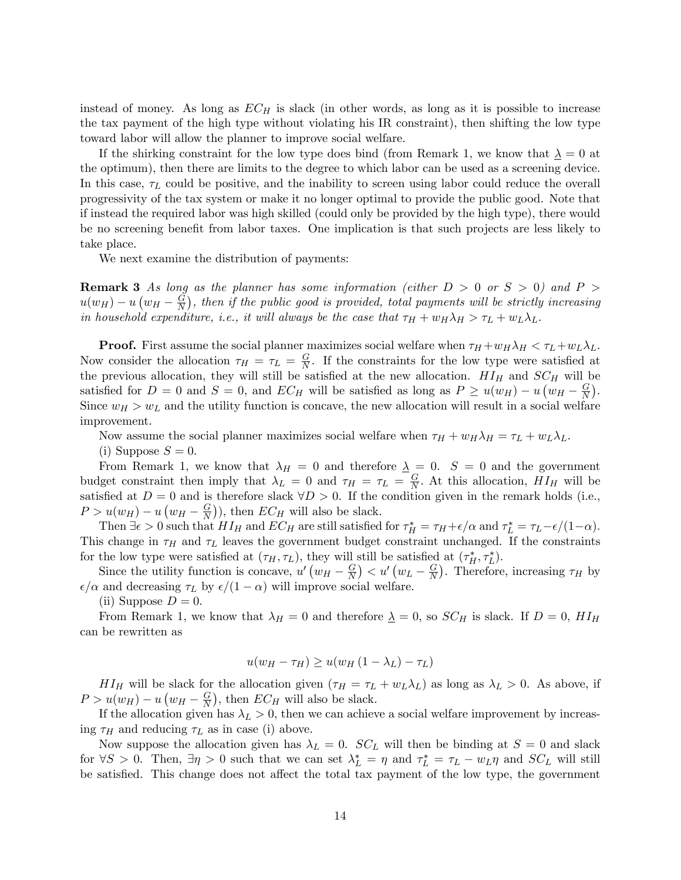instead of money. As long as  $EC_H$  is slack (in other words, as long as it is possible to increase the tax payment of the high type without violating his IR constraint), then shifting the low type toward labor will allow the planner to improve social welfare.

If the shirking constraint for the low type does bind (from Remark 1, we know that  $\lambda = 0$  at the optimum), then there are limits to the degree to which labor can be used as a screening device. In this case,  $\tau_L$  could be positive, and the inability to screen using labor could reduce the overall progressivity of the tax system or make it no longer optimal to provide the public good. Note that if instead the required labor was high skilled (could only be provided by the high type), there would be no screening benefit from labor taxes. One implication is that such projects are less likely to take place.

We next examine the distribution of payments:

**Remark 3** As long as the planner has some information (either  $D > 0$  or  $S > 0$ ) and P  $u(w_H) - u(w_H - \frac{G}{N})$  $\frac{G}{N}$ ), then if the public good is provided, total payments will be strictly increasing in household expenditure, i.e., it will always be the case that  $\tau_H + w_H \lambda_H > \tau_L + w_L \lambda_L$ .

**Proof.** First assume the social planner maximizes social welfare when  $\tau_H + w_H \lambda_H < \tau_L + w_L \lambda_L$ . Now consider the allocation  $\tau_H = \tau_L = \frac{G}{N}$  $\frac{G}{N}$ . If the constraints for the low type were satisfied at the previous allocation, they will still be satisfied at the new allocation.  $HI_H$  and  $SC_H$  will be satisfied for  $D = 0$  and  $S = 0$ , and  $EC_H$  will be satisfied as long as  $P \ge u(w_H) - u(w_H - \frac{G}{N})$  $\frac{G}{N}$ . Since  $w_H > w_L$  and the utility function is concave, the new allocation will result in a social welfare improvement.

Now assume the social planner maximizes social welfare when  $\tau_H + w_H \lambda_H = \tau_L + w_L \lambda_L$ .

(i) Suppose  $S = 0$ .

From Remark 1, we know that  $\lambda_H = 0$  and therefore  $\underline{\lambda} = 0$ .  $S = 0$  and the government budget constraint then imply that  $\lambda_L = 0$  and  $\tau_H = \tau_L = \frac{G}{N}$  $\frac{G}{N}$ . At this allocation,  $HI_H$  will be satisfied at  $D = 0$  and is therefore slack  $\forall D > 0$ . If the condition given in the remark holds (i.e.,  $P > u(w_H) - u(w_H - \frac{G}{N})$  $\left(\frac{G}{N}\right)$ ), then  $EC_H$  will also be slack.

Then  $\exists \epsilon > 0$  such that  $HI_H$  and  $EC_H$  are still satisfied for  $\tau_H^* = \tau_H + \epsilon/\alpha$  and  $\tau_L^* = \tau_L - \epsilon/(1-\alpha)$ . This change in  $\tau_H$  and  $\tau_L$  leaves the government budget constraint unchanged. If the constraints for the low type were satisfied at  $(\tau_H, \tau_L)$ , they will still be satisfied at  $(\tau_H^*, \tau_L^*)$ .

Since the utility function is concave,  $u' (w_H - \frac{G}{N})$  $\left(\frac{G}{N}\right) < u' \left(w_L - \frac{G}{N}\right)$  $\frac{G}{N}$ ). Therefore, increasing  $\tau_H$  by  $\epsilon/\alpha$  and decreasing  $\tau_L$  by  $\epsilon/(1 - \alpha)$  will improve social welfare.

(ii) Suppose  $D=0$ .

From Remark 1, we know that  $\lambda_H = 0$  and therefore  $\underline{\lambda} = 0$ , so  $SC_H$  is slack. If  $D = 0$ ,  $HI_H$ can be rewritten as

$$
u(w_H - \tau_H) \ge u(w_H (1 - \lambda_L) - \tau_L)
$$

 $HI_H$  will be slack for the allocation given  $(\tau_H = \tau_L + w_L \lambda_L)$  as long as  $\lambda_L > 0$ . As above, if  $P > u(w_H) - u(w_H - \frac{G}{N})$  $\left(\frac{G}{N}\right)$ , then  $EC_H$  will also be slack.

If the allocation given has  $\lambda_L > 0$ , then we can achieve a social welfare improvement by increasing  $\tau_H$  and reducing  $\tau_L$  as in case (i) above.

Now suppose the allocation given has  $\lambda_L = 0$ .  $SC_L$  will then be binding at  $S = 0$  and slack for  $\forall S > 0$ . Then,  $\exists \eta > 0$  such that we can set  $\lambda_L^* = \eta$  and  $\tau_L^* = \tau_L - w_L \eta$  and  $SC_L$  will still be satisfied. This change does not affect the total tax payment of the low type, the government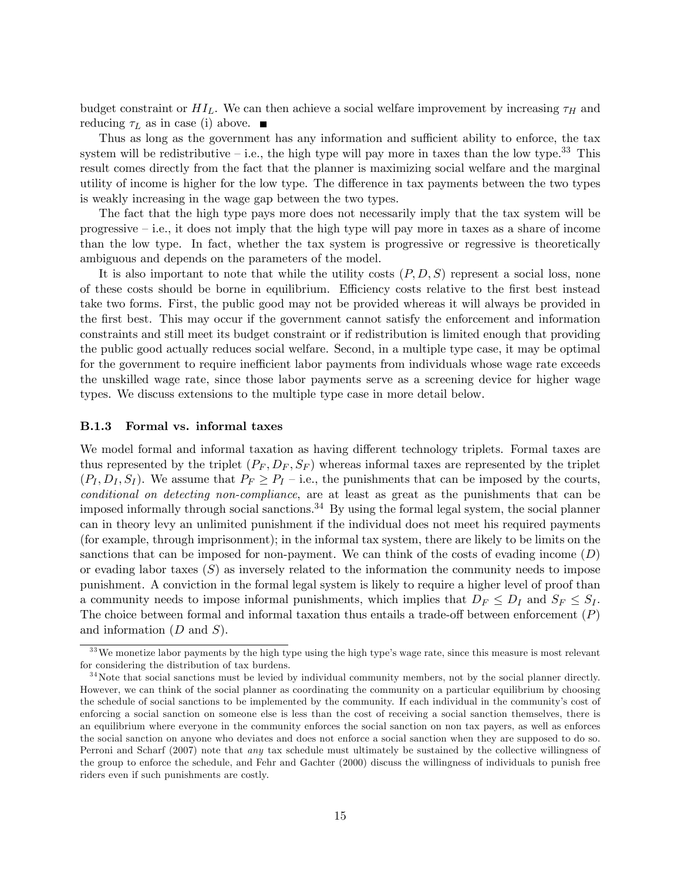budget constraint or  $HI_L$ . We can then achieve a social welfare improvement by increasing  $\tau_H$  and reducing  $\tau_L$  as in case (i) above.  $\blacksquare$ 

Thus as long as the government has any information and sufficient ability to enforce, the tax system will be redistributive  $-$  i.e., the high type will pay more in taxes than the low type.<sup>33</sup> This result comes directly from the fact that the planner is maximizing social welfare and the marginal utility of income is higher for the low type. The difference in tax payments between the two types is weakly increasing in the wage gap between the two types.

The fact that the high type pays more does not necessarily imply that the tax system will be progressive  $\overline{\phantom{a}}$  i.e., it does not imply that the high type will pay more in taxes as a share of income than the low type. In fact, whether the tax system is progressive or regressive is theoretically ambiguous and depends on the parameters of the model.

It is also important to note that while the utility costs  $(P, D, S)$  represent a social loss, none of these costs should be borne in equilibrium. Efficiency costs relative to the first best instead take two forms. First, the public good may not be provided whereas it will always be provided in the first best. This may occur if the government cannot satisfy the enforcement and information constraints and still meet its budget constraint or if redistribution is limited enough that providing the public good actually reduces social welfare. Second, in a multiple type case, it may be optimal for the government to require inefficient labor payments from individuals whose wage rate exceeds the unskilled wage rate, since those labor payments serve as a screening device for higher wage types. We discuss extensions to the multiple type case in more detail below.

## B.1.3 Formal vs. informal taxes

We model formal and informal taxation as having different technology triplets. Formal taxes are thus represented by the triplet  $(P_F, D_F, S_F)$  whereas informal taxes are represented by the triplet  $(P_I, D_I, S_I)$ . We assume that  $P_F \ge P_I$  - i.e., the punishments that can be imposed by the courts, conditional on detecting non-compliance, are at least as great as the punishments that can be imposed informally through social sanctions.<sup>34</sup> By using the formal legal system, the social planner can in theory levy an unlimited punishment if the individual does not meet his required payments (for example, through imprisonment); in the informal tax system, there are likely to be limits on the sanctions that can be imposed for non-payment. We can think of the costs of evading income  $(D)$ or evading labor taxes  $(S)$  as inversely related to the information the community needs to impose punishment. A conviction in the formal legal system is likely to require a higher level of proof than a community needs to impose informal punishments, which implies that  $D_F \leq D_I$  and  $S_F \leq S_I$ . The choice between formal and informal taxation thus entails a trade-off between enforcement  $(P)$ and information  $(D \text{ and } S)$ .

 $33$ We monetize labor payments by the high type using the high type's wage rate, since this measure is most relevant for considering the distribution of tax burdens.

<sup>&</sup>lt;sup>34</sup>Note that social sanctions must be levied by individual community members, not by the social planner directly. However, we can think of the social planner as coordinating the community on a particular equilibrium by choosing the schedule of social sanctions to be implemented by the community. If each individual in the community's cost of enforcing a social sanction on someone else is less than the cost of receiving a social sanction themselves, there is an equilibrium where everyone in the community enforces the social sanction on non tax payers, as well as enforces the social sanction on anyone who deviates and does not enforce a social sanction when they are supposed to do so. Perroni and Scharf (2007) note that any tax schedule must ultimately be sustained by the collective willingness of the group to enforce the schedule, and Fehr and Gachter (2000) discuss the willingness of individuals to punish free riders even if such punishments are costly.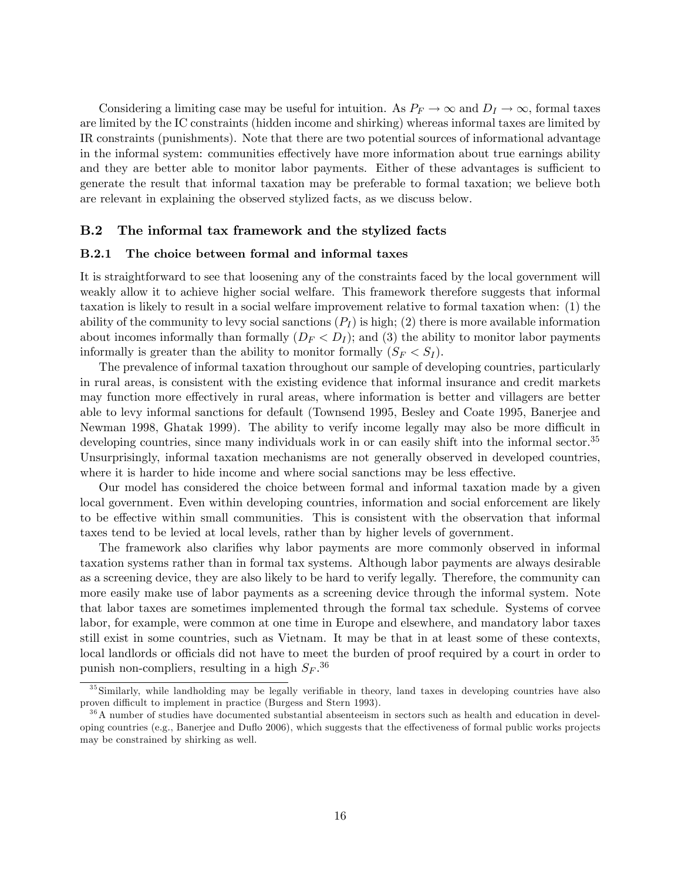Considering a limiting case may be useful for intuition. As  $P_F \to \infty$  and  $D_I \to \infty$ , formal taxes are limited by the IC constraints (hidden income and shirking) whereas informal taxes are limited by IR constraints (punishments). Note that there are two potential sources of informational advantage in the informal system: communities effectively have more information about true earnings ability and they are better able to monitor labor payments. Either of these advantages is sufficient to generate the result that informal taxation may be preferable to formal taxation; we believe both are relevant in explaining the observed stylized facts, as we discuss below.

# B.2 The informal tax framework and the stylized facts

#### B.2.1 The choice between formal and informal taxes

It is straightforward to see that loosening any of the constraints faced by the local government will weakly allow it to achieve higher social welfare. This framework therefore suggests that informal taxation is likely to result in a social welfare improvement relative to formal taxation when: (1) the ability of the community to levy social sanctions  $(P_I)$  is high; (2) there is more available information about incomes informally than formally  $(D_F < D_I)$ ; and (3) the ability to monitor labor payments informally is greater than the ability to monitor formally  $(S_F < S_I)$ .

The prevalence of informal taxation throughout our sample of developing countries, particularly in rural areas, is consistent with the existing evidence that informal insurance and credit markets may function more effectively in rural areas, where information is better and villagers are better able to levy informal sanctions for default (Townsend 1995, Besley and Coate 1995, Banerjee and Newman 1998, Ghatak 1999). The ability to verify income legally may also be more difficult in developing countries, since many individuals work in or can easily shift into the informal sector.<sup>35</sup> Unsurprisingly, informal taxation mechanisms are not generally observed in developed countries, where it is harder to hide income and where social sanctions may be less effective.

Our model has considered the choice between formal and informal taxation made by a given local government. Even within developing countries, information and social enforcement are likely to be effective within small communities. This is consistent with the observation that informal taxes tend to be levied at local levels, rather than by higher levels of government.

The framework also clarifies why labor payments are more commonly observed in informal taxation systems rather than in formal tax systems. Although labor payments are always desirable as a screening device, they are also likely to be hard to verify legally. Therefore, the community can more easily make use of labor payments as a screening device through the informal system. Note that labor taxes are sometimes implemented through the formal tax schedule. Systems of corvee labor, for example, were common at one time in Europe and elsewhere, and mandatory labor taxes still exist in some countries, such as Vietnam. It may be that in at least some of these contexts, local landlords or officials did not have to meet the burden of proof required by a court in order to punish non-compliers, resulting in a high  $S_F$ .<sup>36</sup>

 $35$ Similarly, while landholding may be legally verifiable in theory, land taxes in developing countries have also proven difficult to implement in practice (Burgess and Stern 1993).

<sup>36</sup>A number of studies have documented substantial absenteeism in sectors such as health and education in developing countries (e.g., Banerjee and Duflo 2006), which suggests that the effectiveness of formal public works projects may be constrained by shirking as well.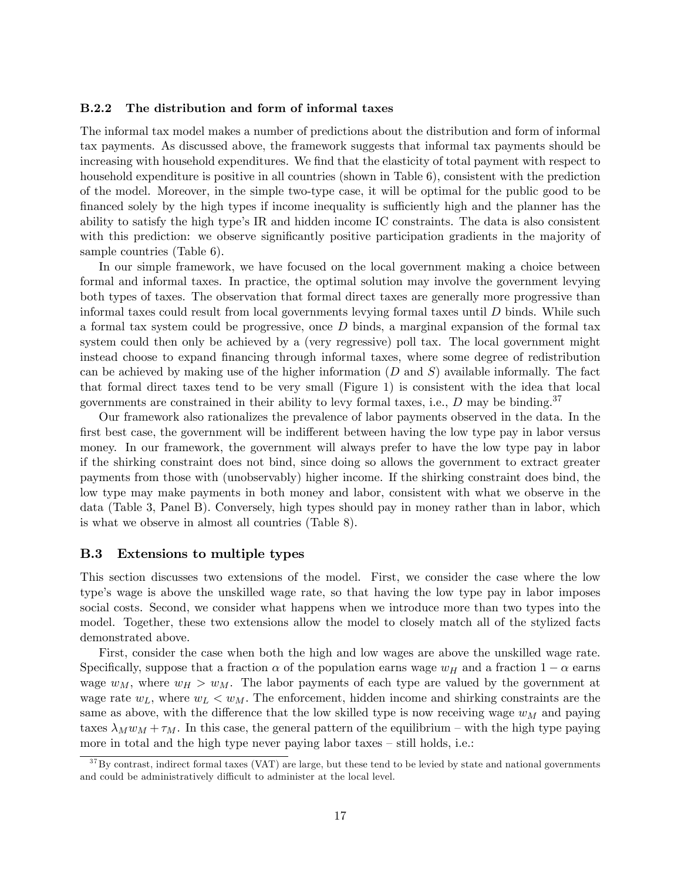# B.2.2 The distribution and form of informal taxes

The informal tax model makes a number of predictions about the distribution and form of informal tax payments. As discussed above, the framework suggests that informal tax payments should be increasing with household expenditures. We find that the elasticity of total payment with respect to household expenditure is positive in all countries (shown in Table 6), consistent with the prediction of the model. Moreover, in the simple two-type case, it will be optimal for the public good to be financed solely by the high types if income inequality is sufficiently high and the planner has the ability to satisfy the high type's IR and hidden income IC constraints. The data is also consistent with this prediction: we observe significantly positive participation gradients in the majority of sample countries (Table 6).

In our simple framework, we have focused on the local government making a choice between formal and informal taxes. In practice, the optimal solution may involve the government levying both types of taxes. The observation that formal direct taxes are generally more progressive than informal taxes could result from local governments levying formal taxes until D binds. While such a formal tax system could be progressive, once D binds, a marginal expansion of the formal tax system could then only be achieved by a (very regressive) poll tax. The local government might instead choose to expand financing through informal taxes, where some degree of redistribution can be achieved by making use of the higher information  $(D \text{ and } S)$  available informally. The fact that formal direct taxes tend to be very small (Figure 1) is consistent with the idea that local governments are constrained in their ability to levy formal taxes, i.e.,  $D$  may be binding.<sup>37</sup>

Our framework also rationalizes the prevalence of labor payments observed in the data. In the first best case, the government will be indifferent between having the low type pay in labor versus money. In our framework, the government will always prefer to have the low type pay in labor if the shirking constraint does not bind, since doing so allows the government to extract greater payments from those with (unobservably) higher income. If the shirking constraint does bind, the low type may make payments in both money and labor, consistent with what we observe in the data (Table 3, Panel B). Conversely, high types should pay in money rather than in labor, which is what we observe in almost all countries (Table 8).

#### B.3 Extensions to multiple types

This section discusses two extensions of the model. First, we consider the case where the low type's wage is above the unskilled wage rate, so that having the low type pay in labor imposes social costs. Second, we consider what happens when we introduce more than two types into the model. Together, these two extensions allow the model to closely match all of the stylized facts demonstrated above.

First, consider the case when both the high and low wages are above the unskilled wage rate. Specifically, suppose that a fraction  $\alpha$  of the population earns wage  $w_H$  and a fraction  $1 - \alpha$  earns wage  $w_M$ , where  $w_H > w_M$ . The labor payments of each type are valued by the government at wage rate  $w_L$ , where  $w_L < w_M$ . The enforcement, hidden income and shirking constraints are the same as above, with the difference that the low skilled type is now receiving wage  $w_M$  and paying taxes  $\lambda_M w_M + \tau_M$ . In this case, the general pattern of the equilibrium – with the high type paying more in total and the high type never paying labor taxes  $-$  still holds, i.e.:

 $37\,\text{By contrast, indirect formal taxes (VAT) are large, but these tend to be levied by state and national governments.}$ and could be administratively difficult to administer at the local level.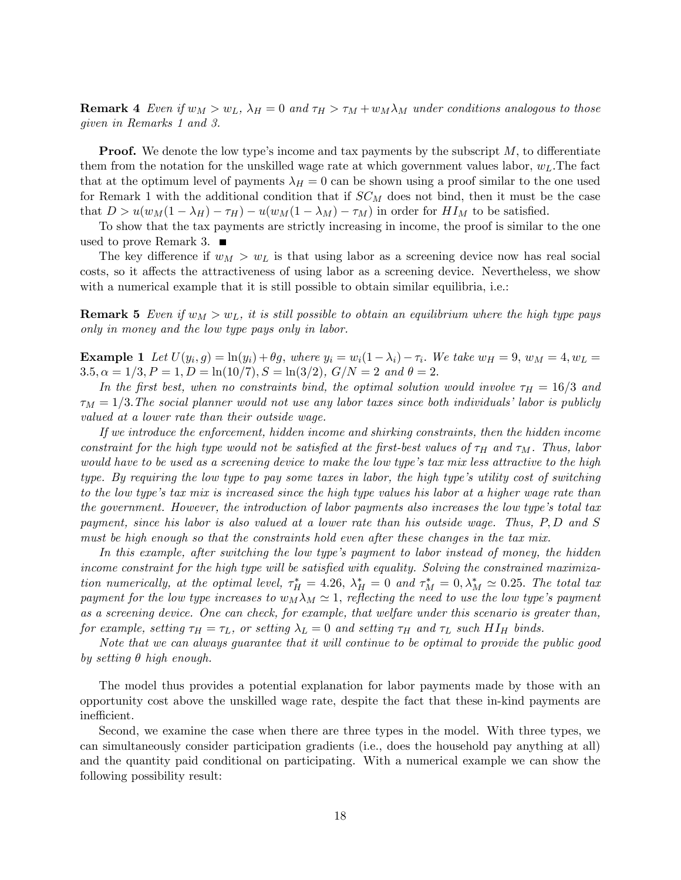**Remark 4** Even if  $w_M > w_L$ ,  $\lambda_H = 0$  and  $\tau_H > \tau_M + w_M \lambda_M$  under conditions analogous to those given in Remarks 1 and 3.

**Proof.** We denote the low type's income and tax payments by the subscript  $M$ , to differentiate them from the notation for the unskilled wage rate at which government values labor,  $w<sub>L</sub>$ . The fact that at the optimum level of payments  $\lambda_H = 0$  can be shown using a proof similar to the one used for Remark 1 with the additional condition that if  $SC_M$  does not bind, then it must be the case that  $D > u(w_M(1 - \lambda_H) - \tau_H) - u(w_M(1 - \lambda_M) - \tau_M)$  in order for  $H I_M$  to be satisfied.

To show that the tax payments are strictly increasing in income, the proof is similar to the one used to prove Remark 3.  $\blacksquare$ 

The key difference if  $w_M > w_L$  is that using labor as a screening device now has real social costs, so it affects the attractiveness of using labor as a screening device. Nevertheless, we show with a numerical example that it is still possible to obtain similar equilibria, i.e.:

**Remark 5** Even if  $w_M > w_L$ , it is still possible to obtain an equilibrium where the high type pays only in money and the low type pays only in labor.

**Example 1** Let  $U(y_i, g) = \ln(y_i) + \theta g$ , where  $y_i = w_i(1 - \lambda_i) - \tau_i$ . We take  $w_H = 9$ ,  $w_M = 4$ ,  $w_L =$  $3.5, \alpha = 1/3, P = 1, D = \ln(10/7), S = \ln(3/2), G/N = 2$  and  $\theta = 2$ .

In the first best, when no constraints bind, the optimal solution would involve  $\tau_H = 16/3$  and  $\tau_M = 1/3$ . The social planner would not use any labor taxes since both individuals' labor is publicly valued at a lower rate than their outside wage.

If we introduce the enforcement, hidden income and shirking constraints, then the hidden income constraint for the high type would not be satisfied at the first-best values of  $\tau_H$  and  $\tau_M$ . Thus, labor would have to be used as a screening device to make the low type's tax mix less attractive to the high type. By requiring the low type to pay some taxes in labor, the high type's utility cost of switching to the low type's tax mix is increased since the high type values his labor at a higher wage rate than the government. However, the introduction of labor payments also increases the low type's total tax payment, since his labor is also valued at a lower rate than his outside wage. Thus, P; D and S must be high enough so that the constraints hold even after these changes in the tax mix.

In this example, after switching the low type's payment to labor instead of money, the hidden income constraint for the high type will be satisfied with equality. Solving the constrained maximization numerically, at the optimal level,  $\tau_H^* = 4.26$ ,  $\lambda_H^* = 0$  and  $\tau_M^* = 0$ ,  $\lambda_M^* \simeq 0.25$ . The total tax payment for the low type increases to  $w_M\lambda_M \simeq 1$ , reflecting the need to use the low type's payment as a screening device. One can check, for example, that welfare under this scenario is greater than, for example, setting  $\tau_H = \tau_L$ , or setting  $\lambda_L = 0$  and setting  $\tau_H$  and  $\tau_L$  such HI<sub>H</sub> binds.

Note that we can always guarantee that it will continue to be optimal to provide the public good by setting  $\theta$  high enough.

The model thus provides a potential explanation for labor payments made by those with an opportunity cost above the unskilled wage rate, despite the fact that these in-kind payments are inefficient.

Second, we examine the case when there are three types in the model. With three types, we can simultaneously consider participation gradients (i.e., does the household pay anything at all) and the quantity paid conditional on participating. With a numerical example we can show the following possibility result: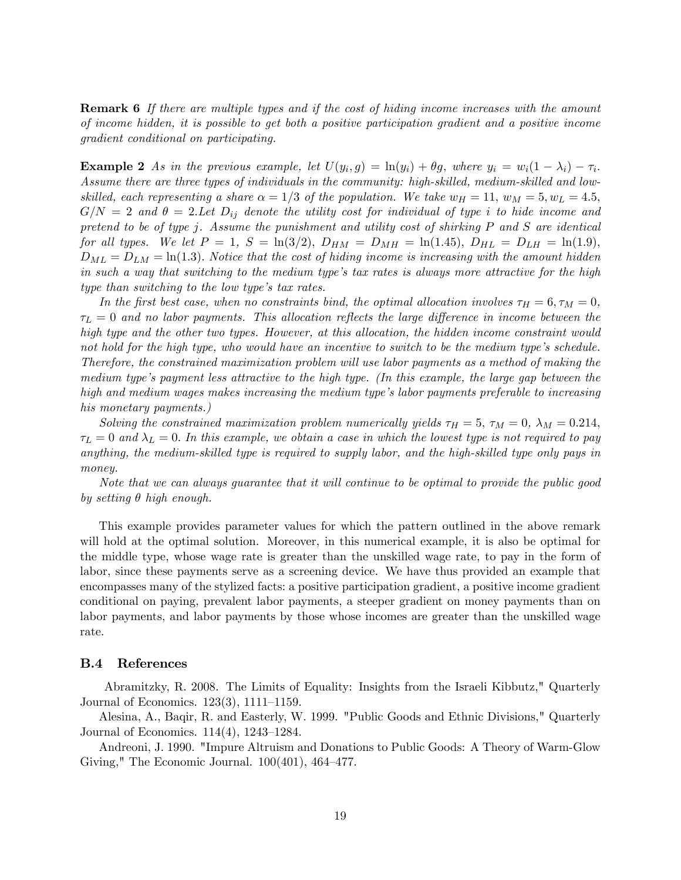**Remark 6** If there are multiple types and if the cost of hiding income increases with the amount of income hidden, it is possible to get both a positive participation gradient and a positive income gradient conditional on participating.

**Example 2** As in the previous example, let  $U(y_i, g) = \ln(y_i) + \theta g$ , where  $y_i = w_i(1 - \lambda_i) - \tau_i$ . Assume there are three types of individuals in the community: high-skilled, medium-skilled and lowskilled, each representing a share  $\alpha = 1/3$  of the population. We take  $w_H = 11$ ,  $w_M = 5$ ,  $w_L = 4.5$ ,  $G/N = 2$  and  $\theta = 2.$  Let  $D_{ij}$  denote the utility cost for individual of type i to hide income and pretend to be of type j. Assume the punishment and utility cost of shirking P and S are identical for all types. We let  $P = 1$ ,  $S = \ln(3/2)$ ,  $D_{HM} = D_{MH} = \ln(1.45)$ ,  $D_{HL} = D_{LH} = \ln(1.9)$ ,  $D_{ML} = D_{LM} = \ln(1.3)$ . Notice that the cost of hiding income is increasing with the amount hidden in such a way that switching to the medium type's tax rates is always more attractive for the high type than switching to the low type's tax rates.

In the first best case, when no constraints bind, the optimal allocation involves  $\tau_H = 6, \tau_M = 0$ ,  $\tau_L = 0$  and no labor payments. This allocation reflects the large difference in income between the high type and the other two types. However, at this allocation, the hidden income constraint would not hold for the high type, who would have an incentive to switch to be the medium type's schedule. Therefore, the constrained maximization problem will use labor payments as a method of making the medium type's payment less attractive to the high type. (In this example, the large gap between the high and medium wages makes increasing the medium type's labor payments preferable to increasing his monetary payments.)

Solving the constrained maximization problem numerically yields  $\tau_H = 5$ ,  $\tau_M = 0$ ,  $\lambda_M = 0.214$ ,  $\tau_L = 0$  and  $\lambda_L = 0$ . In this example, we obtain a case in which the lowest type is not required to pay anything, the medium-skilled type is required to supply labor, and the high-skilled type only pays in money.

Note that we can always guarantee that it will continue to be optimal to provide the public good by setting  $\theta$  high enough.

This example provides parameter values for which the pattern outlined in the above remark will hold at the optimal solution. Moreover, in this numerical example, it is also be optimal for the middle type, whose wage rate is greater than the unskilled wage rate, to pay in the form of labor, since these payments serve as a screening device. We have thus provided an example that encompasses many of the stylized facts: a positive participation gradient, a positive income gradient conditional on paying, prevalent labor payments, a steeper gradient on money payments than on labor payments, and labor payments by those whose incomes are greater than the unskilled wage rate.

# B.4 References

Abramitzky, R. 2008. The Limits of Equality: Insights from the Israeli Kibbutz," Quarterly Journal of Economics.  $123(3)$ ,  $1111-1159$ .

Alesina, A., Baqir, R. and Easterly, W. 1999. "Public Goods and Ethnic Divisions," Quarterly Journal of Economics.  $114(4)$ ,  $1243-1284$ .

Andreoni, J. 1990. "Impure Altruism and Donations to Public Goods: A Theory of Warm-Glow Giving," The Economic Journal.  $100(401)$ ,  $464-477$ .